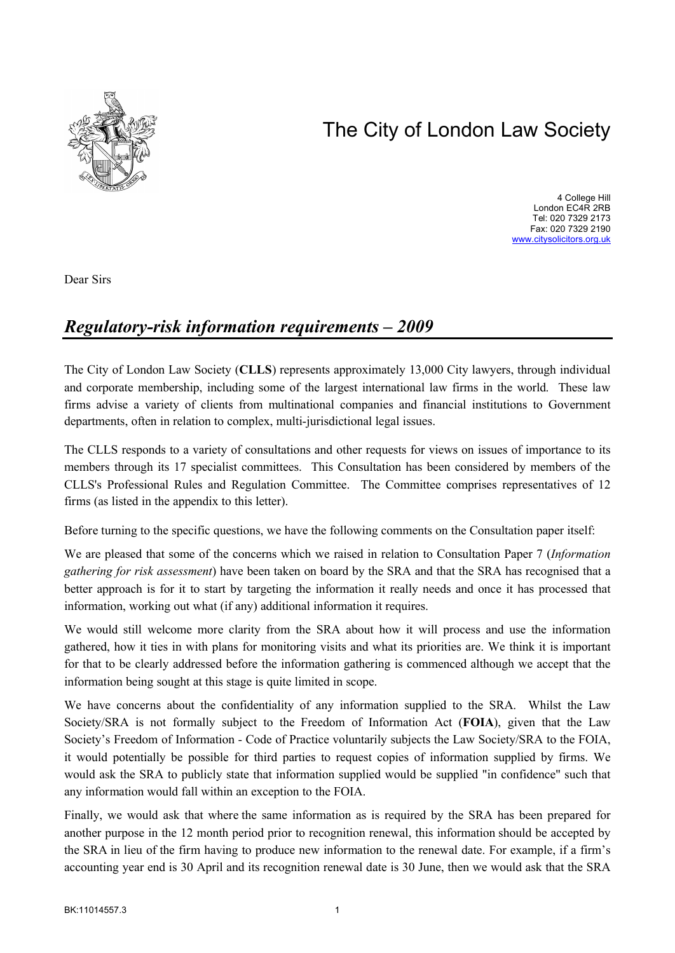# The City of London Law Society



4 College Hill London EC4R 2RB Tel: 020 7329 2173 Fax: 020 7329 2190 <www.citysolicitors.org.uk>

Dear Sirs

# *Regulatory-risk information requirements – 2009*

The City of London Law Society (**CLLS**) represents approximately 13,000 City lawyers, through individual and corporate membership, including some of the largest international law firms in the world. These law firms advise a variety of clients from multinational companies and financial institutions to Government departments, often in relation to complex, multi-jurisdictional legal issues.

The CLLS responds to a variety of consultations and other requests for views on issues of importance to its members through its 17 specialist committees. This Consultation has been considered by members of the CLLS's Professional Rules and Regulation Committee. The Committee comprises representatives of 12 firms (as listed in the appendix to this letter).

Before turning to the specific questions, we have the following comments on the Consultation paper itself:

We are pleased that some of the concerns which we raised in relation to Consultation Paper 7 (*Information gathering for risk assessment*) have been taken on board by the SRA and that the SRA has recognised that a better approach is for it to start by targeting the information it really needs and once it has processed that information, working out what (if any) additional information it requires.

We would still welcome more clarity from the SRA about how it will process and use the information gathered, how it ties in with plans for monitoring visits and what its priorities are. We think it is important for that to be clearly addressed before the information gathering is commenced although we accept that the information being sought at this stage is quite limited in scope.

We have concerns about the confidentiality of any information supplied to the SRA. Whilst the Law Society/SRA is not formally subject to the Freedom of Information Act (**FOIA**), given that the Law Society's Freedom of Information - Code of Practice voluntarily subjects the Law Society/SRA to the FOIA, it would potentially be possible for third parties to request copies of information supplied by firms. We would ask the SRA to publicly state that information supplied would be supplied "in confidence" such that any information would fall within an exception to the FOIA.

Finally, we would ask that where the same information as is required by the SRA has been prepared for another purpose in the 12 month period prior to recognition renewal, this information should be accepted by the SRA in lieu of the firm having to produce new information to the renewal date. For example, if a firm's accounting year end is 30 April and its recognition renewal date is 30 June, then we would ask that the SRA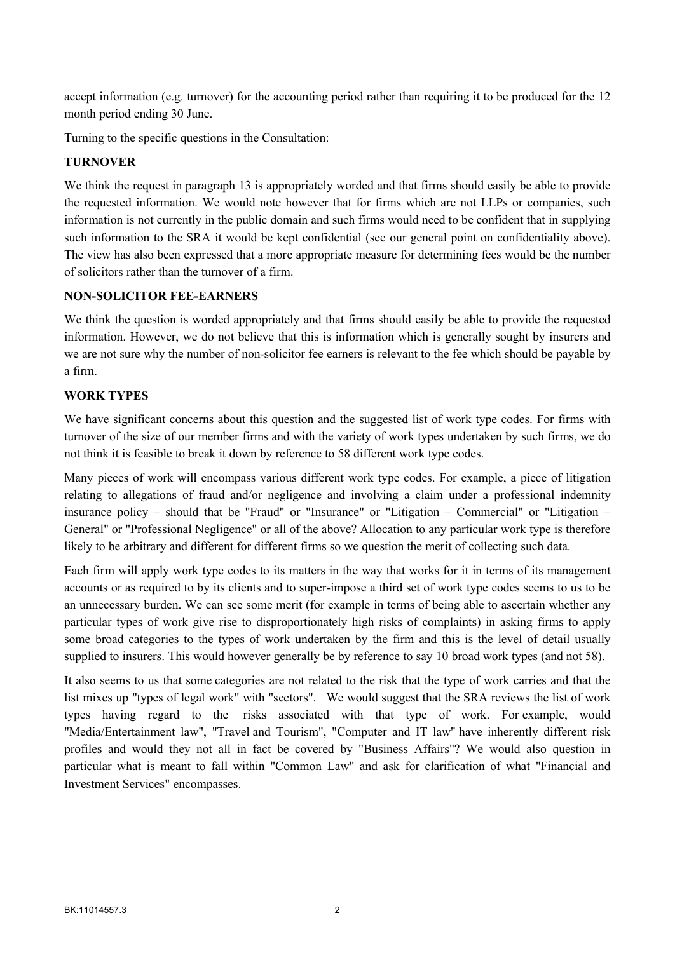accept information (e.g. turnover) for the accounting period rather than requiring it to be produced for the 12 month period ending 30 June.

Turning to the specific questions in the Consultation:

# **TURNOVER**

We think the request in paragraph 13 is appropriately worded and that firms should easily be able to provide the requested information. We would note however that for firms which are not LLPs or companies, such information is not currently in the public domain and such firms would need to be confident that in supplying such information to the SRA it would be kept confidential (see our general point on confidentiality above). The view has also been expressed that a more appropriate measure for determining fees would be the number of solicitors rather than the turnover of a firm.

## **NON-SOLICITOR FEE-EARNERS**

We think the question is worded appropriately and that firms should easily be able to provide the requested information. However, we do not believe that this is information which is generally sought by insurers and we are not sure why the number of non-solicitor fee earners is relevant to the fee which should be payable by a firm.

## **WORK TYPES**

We have significant concerns about this question and the suggested list of work type codes. For firms with turnover of the size of our member firms and with the variety of work types undertaken by such firms, we do not think it is feasible to break it down by reference to 58 different work type codes.

Many pieces of work will encompass various different work type codes. For example, a piece of litigation relating to allegations of fraud and/or negligence and involving a claim under a professional indemnity insurance policy – should that be "Fraud" or "Insurance" or "Litigation – Commercial" or "Litigation – General" or "Professional Negligence" or all of the above? Allocation to any particular work type is therefore likely to be arbitrary and different for different firms so we question the merit of collecting such data.

Each firm will apply work type codes to its matters in the way that works for it in terms of its management accounts or as required to by its clients and to super-impose a third set of work type codes seems to us to be an unnecessary burden. We can see some merit (for example in terms of being able to ascertain whether any particular types of work give rise to disproportionately high risks of complaints) in asking firms to apply some broad categories to the types of work undertaken by the firm and this is the level of detail usually supplied to insurers. This would however generally be by reference to say 10 broad work types (and not 58).

It also seems to us that some categories are not related to the risk that the type of work carries and that the list mixes up "types of legal work" with "sectors". We would suggest that the SRA reviews the list of work types having regard to the risks associated with that type of work. For example, would "Media/Entertainment law", "Travel and Tourism", "Computer and IT law" have inherently different risk profiles and would they not all in fact be covered by "Business Affairs"? We would also question in particular what is meant to fall within "Common Law" and ask for clarification of what "Financial and Investment Services" encompasses.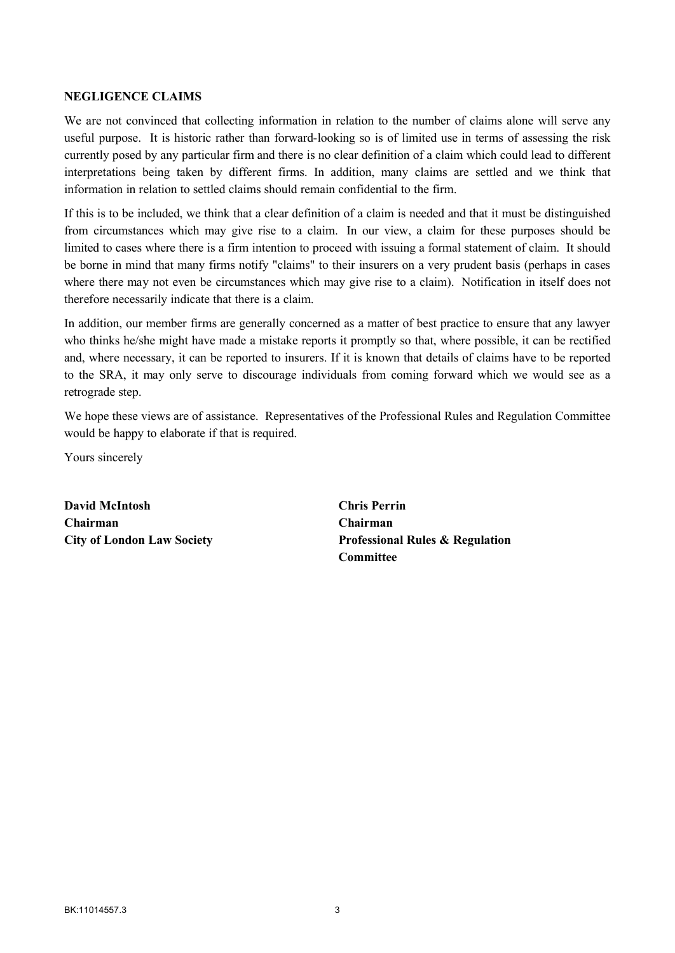#### **NEGLIGENCE CLAIMS**

We are not convinced that collecting information in relation to the number of claims alone will serve any useful purpose. It is historic rather than forward-looking so is of limited use in terms of assessing the risk currently posed by any particular firm and there is no clear definition of a claim which could lead to different interpretations being taken by different firms. In addition, many claims are settled and we think that information in relation to settled claims should remain confidential to the firm.

If this is to be included, we think that a clear definition of a claim is needed and that it must be distinguished from circumstances which may give rise to a claim. In our view, a claim for these purposes should be limited to cases where there is a firm intention to proceed with issuing a formal statement of claim. It should be borne in mind that many firms notify "claims" to their insurers on a very prudent basis (perhaps in cases where there may not even be circumstances which may give rise to a claim). Notification in itself does not therefore necessarily indicate that there is a claim.

In addition, our member firms are generally concerned as a matter of best practice to ensure that any lawyer who thinks he/she might have made a mistake reports it promptly so that, where possible, it can be rectified and, where necessary, it can be reported to insurers. If it is known that details of claims have to be reported to the SRA, it may only serve to discourage individuals from coming forward which we would see as a retrograde step.

We hope these views are of assistance. Representatives of the Professional Rules and Regulation Committee would be happy to elaborate if that is required.

Yours sincerely

**David McIntosh Chairman City of London Law Society** **Chris Perrin Chairman Professional Rules & Regulation Committee**